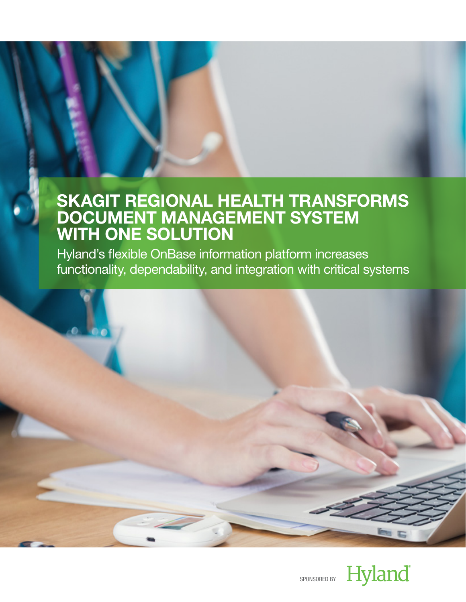Hyland's flexible OnBase information platform increases functionality, dependability, and integration with critical systems



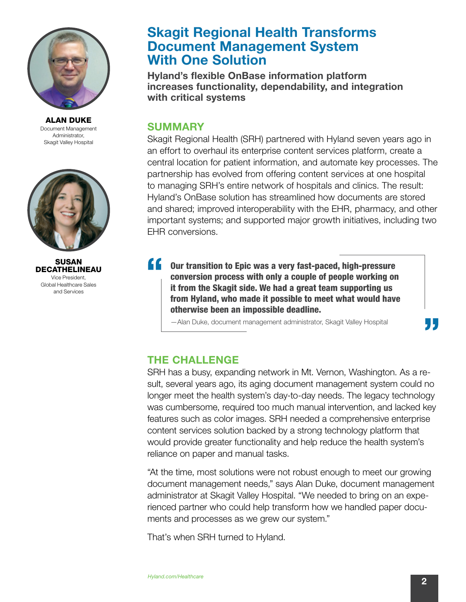

ALAN DUKE Document Management Administrator, Skagit Valley Hospital



SUSAN DECATHELINEAU Vice President, Global Healthcare Sales and Services

## Skagit Regional Health Transforms Document Management System With One Solution

Hyland's flexible OnBase information platform increases functionality, dependability, and integration with critical systems

### **SUMMARY**

Skagit Regional Health (SRH) partnered with Hyland seven years ago in an effort to overhaul its enterprise content services platform, create a central location for patient information, and automate key processes. The partnership has evolved from offering content services at one hospital to managing SRH's entire network of hospitals and clinics. The result: Hyland's OnBase solution has streamlined how documents are stored and shared; improved interoperability with the EHR, pharmacy, and other important systems; and supported major growth initiatives, including two EHR conversions.

"" Our transition to Epic was a very fast-paced, high-pressure conversion process with only a couple of people working on it from the Skagit side. We had a great team supporting us from Hyland, who made it possible to meet what would have otherwise been an impossible deadline.

—Alan Duke, document management administrator, Skagit Valley Hospital

## THE CHALLENGE

SRH has a busy, expanding network in Mt. Vernon, Washington. As a result, several years ago, its aging document management system could no longer meet the health system's day-to-day needs. The legacy technology was cumbersome, required too much manual intervention, and lacked key features such as color images. SRH needed a comprehensive enterprise content services solution backed by a strong technology platform that would provide greater functionality and help reduce the health system's reliance on paper and manual tasks.

"At the time, most solutions were not robust enough to meet our growing document management needs," says Alan Duke, document management administrator at Skagit Valley Hospital. "We needed to bring on an experienced partner who could help transform how we handled paper documents and processes as we grew our system."

That's when SRH turned to Hyland.

95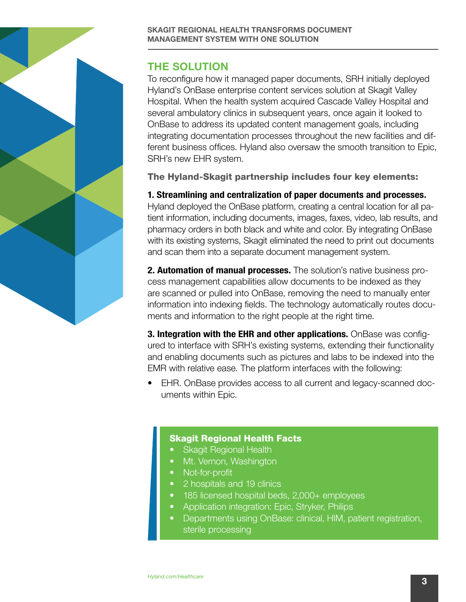## THE SOLUTION

To reconfigure how it managed paper documents, SRH initially deployed Hyland's OnBase enterprise content services solution at Skagit Valley Hospital. When the health system acquired Cascade Valley Hospital and several ambulatory clinics in subsequent years, once again it looked to OnBase to address its updated content management goals, including integrating documentation processes throughout the new facilities and different business offices. Hyland also oversaw the smooth transition to Epic, SRH's new EHR system.

The Hyland-Skagit partnership includes four key elements:

#### 1. Streamlining and centralization of paper documents and processes.

Hyland deployed the OnBase platform, creating a central location for all patient information, including documents, images, faxes, video, lab results, and pharmacy orders in both black and white and color. By integrating OnBase with its existing systems, Skagit eliminated the need to print out documents and scan them into a separate document management system.

**2. Automation of manual processes.** The solution's native business process management capabilities allow documents to be indexed as they are scanned or pulled into OnBase, removing the need to manually enter information into indexing fields. The technology automatically routes documents and information to the right people at the right time.

3. Integration with the EHR and other applications. OnBase was configured to interface with SRH's existing systems, extending their functionality and enabling documents such as pictures and labs to be indexed into the EMR with relative ease. The platform interfaces with the following:

• EHR. OnBase provides access to all current and legacy-scanned documents within Epic.

#### Skagit Regional Health Facts

- **Skagit Regional Health**
- Mt. Vernon, Washington
- Not-for-profit
- 2 hospitals and 19 clinics
- 185 licensed hospital beds, 2,000+ employees
- Application integration: Epic, Stryker, Philips
- Departments using OnBase: clinical, HIM, patient registration, sterile processing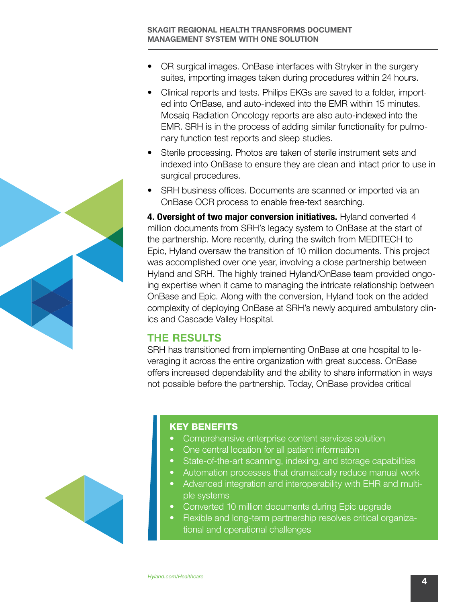- OR surgical images. OnBase interfaces with Stryker in the surgery suites, importing images taken during procedures within 24 hours.
- Clinical reports and tests. Philips EKGs are saved to a folder, imported into OnBase, and auto-indexed into the EMR within 15 minutes. Mosaiq Radiation Oncology reports are also auto-indexed into the EMR. SRH is in the process of adding similar functionality for pulmonary function test reports and sleep studies.
- Sterile processing. Photos are taken of sterile instrument sets and indexed into OnBase to ensure they are clean and intact prior to use in surgical procedures.
- SRH business offices. Documents are scanned or imported via an OnBase OCR process to enable free-text searching.

4. Oversight of two major conversion initiatives. Hyland converted 4 million documents from SRH's legacy system to OnBase at the start of the partnership. More recently, during the switch from MEDITECH to Epic, Hyland oversaw the transition of 10 million documents. This project was accomplished over one year, involving a close partnership between Hyland and SRH. The highly trained Hyland/OnBase team provided ongoing expertise when it came to managing the intricate relationship between OnBase and Epic. Along with the conversion, Hyland took on the added complexity of deploying OnBase at SRH's newly acquired ambulatory clinics and Cascade Valley Hospital.

#### THE RESULTS

SRH has transitioned from implementing OnBase at one hospital to leveraging it across the entire organization with great success. OnBase offers increased dependability and the ability to share information in ways not possible before the partnership. Today, OnBase provides critical

#### KEY BENEFITS

- Comprehensive enterprise content services solution
- One central location for all patient information
- State-of-the-art scanning, indexing, and storage capabilities
- Automation processes that dramatically reduce manual work
- Advanced integration and interoperability with EHR and multiple systems
- Converted 10 million documents during Epic upgrade
- Flexible and long-term partnership resolves critical organizational and operational challenges



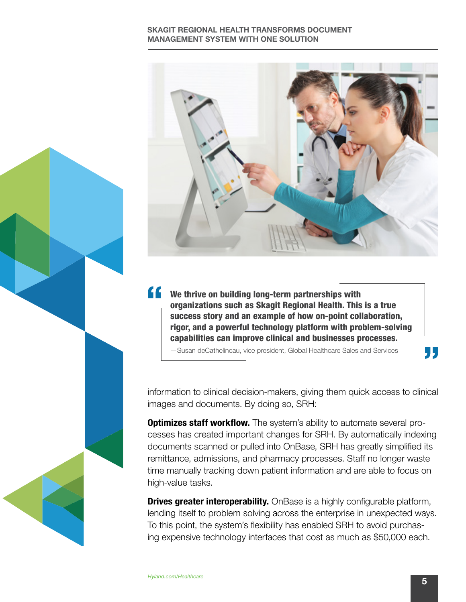

We thrive on building long-term partnerships with organizations such as Skagit Regional Health. This is a true success story and an example of how on-point collaboration, rigor, and a powerful technology platform with problem-solving capabilities can improve clinical and businesses processes.

—Susan deCathelineau, vice president, Global Healthcare Sales and Services

information to clinical decision-makers, giving them quick access to clinical images and documents. By doing so, SRH:

**Optimizes staff workflow.** The system's ability to automate several processes has created important changes for SRH. By automatically indexing documents scanned or pulled into OnBase, SRH has greatly simplified its remittance, admissions, and pharmacy processes. Staff no longer waste time manually tracking down patient information and are able to focus on high-value tasks.

**Drives greater interoperability.** OnBase is a highly configurable platform, lending itself to problem solving across the enterprise in unexpected ways. To this point, the system's flexibility has enabled SRH to avoid purchasing expensive technology interfaces that cost as much as \$50,000 each.



, ,